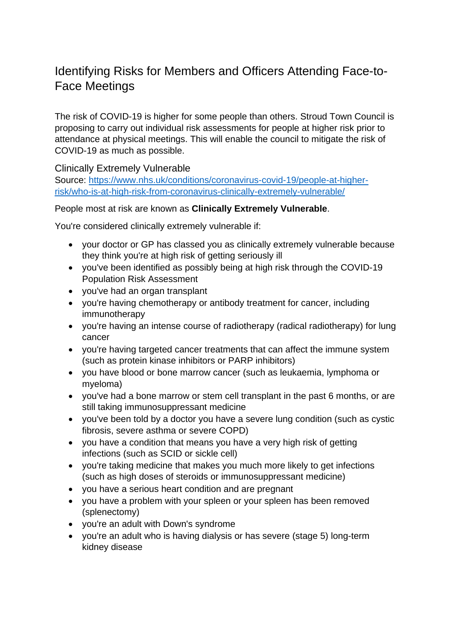## Identifying Risks for Members and Officers Attending Face-to-Face Meetings

The risk of COVID-19 is higher for some people than others. Stroud Town Council is proposing to carry out individual risk assessments for people at higher risk prior to attendance at physical meetings. This will enable the council to mitigate the risk of COVID-19 as much as possible.

Clinically Extremely Vulnerable

Source: [https://www.nhs.uk/conditions/coronavirus-covid-19/people-at-higher](https://www.nhs.uk/conditions/coronavirus-covid-19/people-at-higher-risk/who-is-at-high-risk-from-coronavirus-clinically-extremely-vulnerable/)[risk/who-is-at-high-risk-from-coronavirus-clinically-extremely-vulnerable/](https://www.nhs.uk/conditions/coronavirus-covid-19/people-at-higher-risk/who-is-at-high-risk-from-coronavirus-clinically-extremely-vulnerable/)

## People most at risk are known as **Clinically Extremely Vulnerable**.

You're considered clinically extremely vulnerable if:

- your doctor or GP has classed you as clinically extremely vulnerable because they think you're at high risk of getting seriously ill
- you've been identified as possibly being at high risk through the COVID-19 Population Risk Assessment
- you've had an organ transplant
- you're having chemotherapy or antibody treatment for cancer, including immunotherapy
- you're having an intense course of radiotherapy (radical radiotherapy) for lung cancer
- you're having targeted cancer treatments that can affect the immune system (such as protein kinase inhibitors or PARP inhibitors)
- you have blood or bone marrow cancer (such as leukaemia, lymphoma or myeloma)
- you've had a bone marrow or stem cell transplant in the past 6 months, or are still taking immunosuppressant medicine
- you've been told by a doctor you have a severe lung condition (such as cystic fibrosis, severe asthma or severe COPD)
- you have a condition that means you have a very high risk of getting infections (such as SCID or sickle cell)
- you're taking medicine that makes you much more likely to get infections (such as high doses of steroids or immunosuppressant medicine)
- you have a serious heart condition and are pregnant
- you have a problem with your spleen or your spleen has been removed (splenectomy)
- you're an adult with Down's syndrome
- you're an adult who is having dialysis or has severe (stage 5) long-term kidney disease